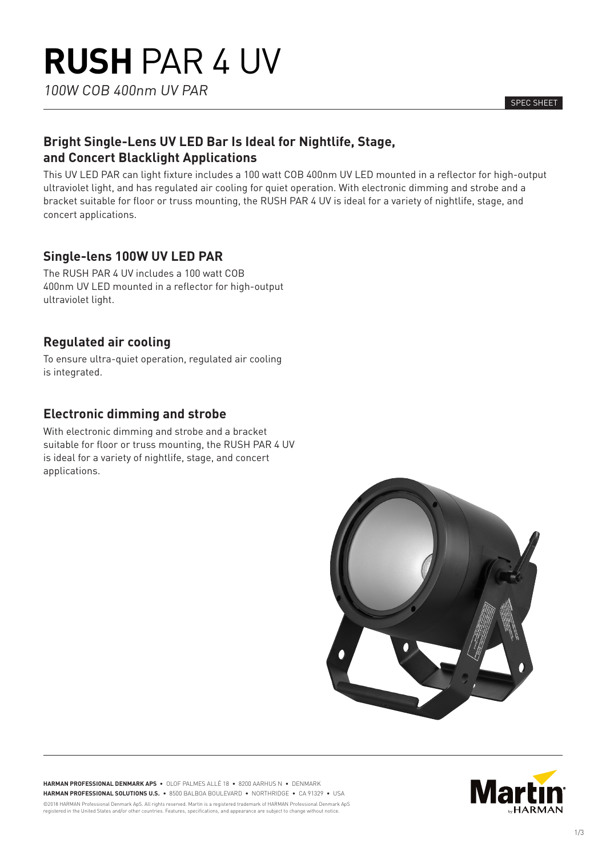100W COB 400nm UV PAR

SPEC SHEET

# **Bright Single-Lens UV LED Bar Is Ideal for Nightlife, Stage, and Concert Blacklight Applications**

This UV LED PAR can light fixture includes a 100 watt COB 400nm UV LED mounted in a reflector for high-output ultraviolet light, and has regulated air cooling for quiet operation. With electronic dimming and strobe and a bracket suitable for floor or truss mounting, the RUSH PAR 4 UV is ideal for a variety of nightlife, stage, and concert applications.

# **Single-lens 100W UV LED PAR**

The RUSH PAR 4 UV includes a 100 watt COB 400nm UV LED mounted in a reflector for high-output ultraviolet light.

# **Regulated air cooling**

To ensure ultra-quiet operation, regulated air cooling is integrated.

# **Electronic dimming and strobe**

With electronic dimming and strobe and a bracket suitable for floor or truss mounting, the RUSH PAR 4 UV is ideal for a variety of nightlife, stage, and concert applications.

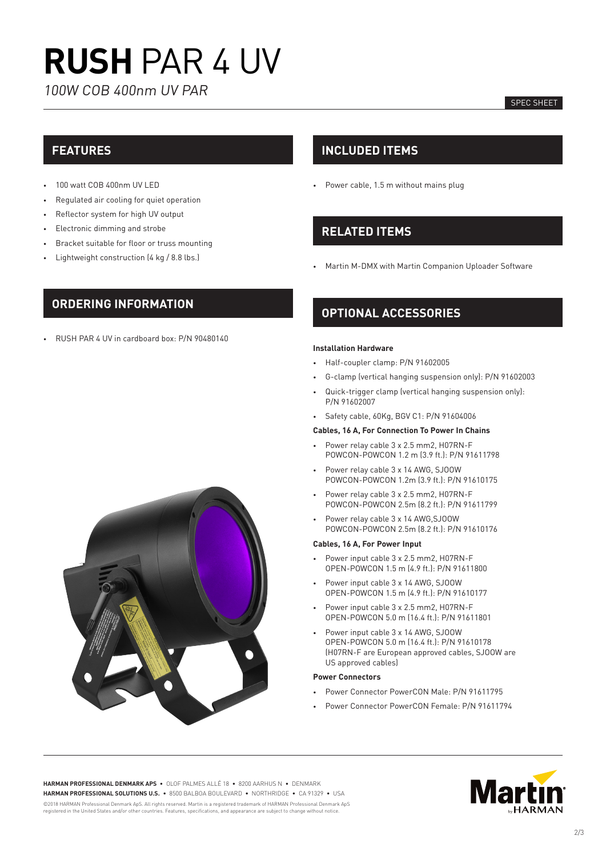# **RUSH** PAR 4 UV

100W COB 400nm UV PAR

### SPEC SHEET

## **FEATURES**

- 100 watt COB 400nm UV LED
- Regulated air cooling for quiet operation
- Reflector system for high UV output
- Electronic dimming and strobe
- Bracket suitable for floor or truss mounting
- Lightweight construction (4 kg / 8.8 lbs.)

## **INCLUDED ITEMS**

• Power cable, 1.5 m without mains plug

# **RELATED ITEMS**

• Martin M-DMX with Martin Companion Uploader Software

## **ORDERING INFORMATION**

• RUSH PAR 4 UV in cardboard box: P/N 90480140

## **OPTIONAL ACCESSORIES**

### **Installation Hardware**

- Half-coupler clamp: P/N 91602005
- G-clamp (vertical hanging suspension only): P/N 91602003
- Quick-trigger clamp (vertical hanging suspension only): P/N 91602007
- Safety cable, 60Kg, BGV C1: P/N 91604006

#### **Cables, 16 A, For Connection To Power In Chains**

- Power relay cable 3 x 2.5 mm2, H07RN-F POWCON-POWCON 1.2 m (3.9 ft.): P/N 91611798
- Power relay cable 3 x 14 AWG, SJOOW POWCON-POWCON 1.2m (3.9 ft.): P/N 91610175
- Power relay cable 3 x 2.5 mm2, H07RN-F POWCON-POWCON 2.5m (8.2 ft.): P/N 91611799
- Power relay cable 3 x 14 AWG,SJOOW POWCON-POWCON 2.5m (8.2 ft.): P/N 91610176

#### **Cables, 16 A, For Power Input**

- Power input cable 3 x 2.5 mm2, H07RN-F OPEN-POWCON 1.5 m (4.9 ft.): P/N 91611800
- Power input cable 3 x 14 AWG, SJOOW OPEN-POWCON 1.5 m (4.9 ft.): P/N 91610177
- Power input cable 3 x 2.5 mm2, H07RN-F OPEN-POWCON 5.0 m (16.4 ft.): P/N 91611801
- Power input cable 3 x 14 AWG, SJOOW OPEN-POWCON 5.0 m (16.4 ft.): P/N 91610178 (H07RN-F are European approved cables, SJOOW are US approved cables)

### **Power Connectors**

- Power Connector PowerCON Male: P/N 91611795
- Power Connector PowerCON Female: P/N 91611794